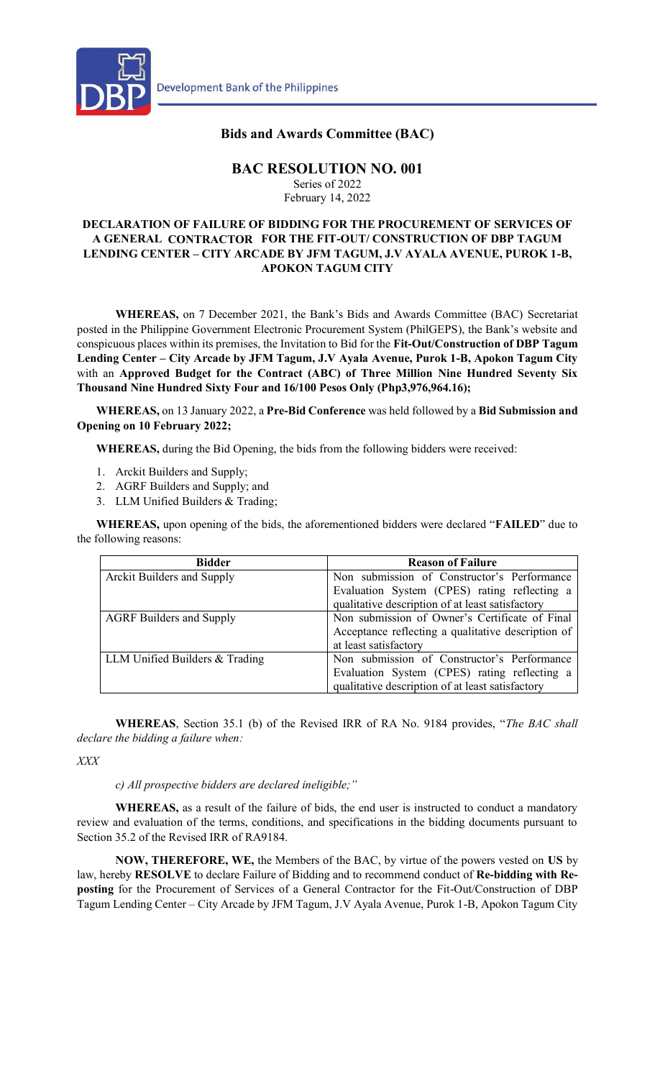

## **Bids and Awards Committee (BAC)**

## **BAC RESOLUTION NO. 001**

Series of 2022 February 14, 2022

## **DECLARATION OF FAILURE OF BIDDING FOR THE PROCUREMENT OF SERVICES OF A GENERAL CONTRACTOR FOR THE FIT-OUT/ CONSTRUCTION OF DBP TAGUM LENDING CENTER – CITY ARCADE BY JFM TAGUM, J.V AYALA AVENUE, PUROK 1-B, APOKON TAGUM CITY**

**WHEREAS,** on 7 December 2021, the Bank's Bids and Awards Committee (BAC) Secretariat posted in the Philippine Government Electronic Procurement System (PhilGEPS), the Bank's website and conspicuous places within its premises, the Invitation to Bid for the **Fit-Out/Construction of DBP Tagum Lending Center – City Arcade by JFM Tagum, J.V Ayala Avenue, Purok 1-B, Apokon Tagum City** with an **Approved Budget for the Contract (ABC) of Three Million Nine Hundred Seventy Six Thousand Nine Hundred Sixty Four and 16/100 Pesos Only (Php3,976,964.16);**

**WHEREAS,** on 13 January 2022, a **Pre-Bid Conference** was held followed by a **Bid Submission and Opening on 10 February 2022;** 

**WHEREAS,** during the Bid Opening, the bids from the following bidders were received:

- 1. Arckit Builders and Supply;
- 2. AGRF Builders and Supply; and
- 3. LLM Unified Builders & Trading;

**WHEREAS,** upon opening of the bids, the aforementioned bidders were declared "**FAILED**" due to the following reasons:

| <b>Bidder</b>                     | <b>Reason of Failure</b>                           |
|-----------------------------------|----------------------------------------------------|
| <b>Arckit Builders and Supply</b> | Non submission of Constructor's Performance        |
|                                   | Evaluation System (CPES) rating reflecting a       |
|                                   | qualitative description of at least satisfactory   |
| <b>AGRF</b> Builders and Supply   | Non submission of Owner's Certificate of Final     |
|                                   | Acceptance reflecting a qualitative description of |
|                                   | at least satisfactory                              |
| LLM Unified Builders & Trading    | Non submission of Constructor's Performance        |
|                                   | Evaluation System (CPES) rating reflecting a       |
|                                   | qualitative description of at least satisfactory   |

**WHEREAS**, Section 35.1 (b) of the Revised IRR of RA No. 9184 provides, "*The BAC shall declare the bidding a failure when:*

*XXX*

*c) All prospective bidders are declared ineligible;"*

**WHEREAS,** as a result of the failure of bids, the end user is instructed to conduct a mandatory review and evaluation of the terms, conditions, and specifications in the bidding documents pursuant to Section 35.2 of the Revised IRR of RA9184.

**NOW, THEREFORE, WE,** the Members of the BAC, by virtue of the powers vested on **US** by law, hereby **RESOLVE** to declare Failure of Bidding and to recommend conduct of **Re-bidding with Reposting** for the Procurement of Services of a General Contractor for the Fit-Out/Construction of DBP Tagum Lending Center – City Arcade by JFM Tagum, J.V Ayala Avenue, Purok 1-B, Apokon Tagum City